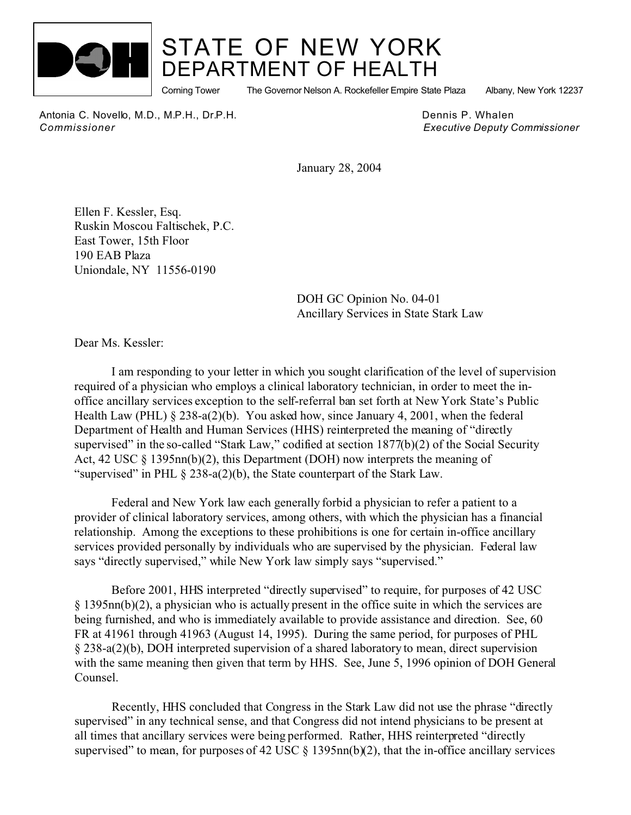

## STATE OF NEW YORK DEPARTMENT OF HEALTH

Corning Tower The Governor Nelson A. Rockefeller Empire State Plaza Albany, New York 12237

Antonia C. Novello, M.D., M.P.H., Dr.P.H. Dennis P. Whalen *Commissioner Executive Deputy Commissioner*

January 28, 2004

Ellen F. Kessler, Esq. Ruskin Moscou Faltischek, P.C. East Tower, 15th Floor 190 EAB Plaza Uniondale, NY 11556-0190

> DOH GC Opinion No. 04-01 Ancillary Services in State Stark Law

Dear Ms. Kessler:

I am responding to your letter in which you sought clarification of the level of supervision required of a physician who employs a clinical laboratory technician, in order to meet the inoffice ancillary services exception to the self-referral ban set forth at New York State's Public Health Law (PHL) § 238-a(2)(b). You asked how, since January 4, 2001, when the federal Department of Health and Human Services (HHS) reinterpreted the meaning of "directly supervised" in the so-called "Stark Law," codified at section 1877(b)(2) of the Social Security Act, 42 USC § 1395nn(b)(2), this Department (DOH) now interprets the meaning of "supervised" in PHL § 238-a(2)(b), the State counterpart of the Stark Law.

Federal and New York law each generally forbid a physician to refer a patient to a provider of clinical laboratory services, among others, with which the physician has a financial relationship. Among the exceptions to these prohibitions is one for certain in-office ancillary services provided personally by individuals who are supervised by the physician. Federal law says "directly supervised," while New York law simply says "supervised."

Before 2001, HHS interpreted "directly supervised" to require, for purposes of 42 USC § 1395nn(b)(2), a physician who is actually present in the office suite in which the services are being furnished, and who is immediately available to provide assistance and direction. See, 60 FR at 41961 through 41963 (August 14, 1995). During the same period, for purposes of PHL § 238-a(2)(b), DOH interpreted supervision of a shared laboratory to mean, direct supervision with the same meaning then given that term by HHS. See, June 5, 1996 opinion of DOH General Counsel.

Recently, HHS concluded that Congress in the Stark Law did not use the phrase "directly supervised" in any technical sense, and that Congress did not intend physicians to be present at all times that ancillary services were being performed. Rather, HHS reinterpreted "directly supervised" to mean, for purposes of 42 USC  $\S$  1395nn(b)(2), that the in-office ancillary services